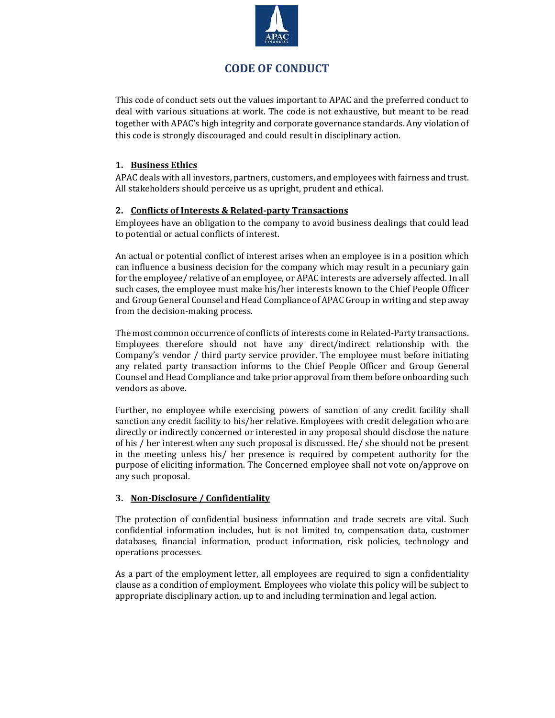

# CODE OF CONDUCT

This code of conduct sets out the values important to APAC and the preferred conduct to deal with various situations at work. The code is not exhaustive, but meant to be read together with APAC's high integrity and corporate governance standards. Any violation of this code is strongly discouraged and could result in disciplinary action.

# 1. Business Ethics

APAC deals with all investors, partners, customers, and employees with fairness and trust. All stakeholders should perceive us as upright, prudent and ethical.

# 2. Conflicts of Interests & Related-party Transactions

Employees have an obligation to the company to avoid business dealings that could lead to potential or actual conflicts of interest.

An actual or potential conflict of interest arises when an employee is in a position which can influence a business decision for the company which may result in a pecuniary gain for the employee/ relative of an employee, or APAC interests are adversely affected. In all such cases, the employee must make his/her interests known to the Chief People Officer and Group General Counsel and Head Compliance of APAC Group in writing and step away from the decision-making process.

The most common occurrence of conflicts of interests come in Related-Party transactions. Employees therefore should not have any direct/indirect relationship with the Company's vendor / third party service provider. The employee must before initiating any related party transaction informs to the Chief People Officer and Group General Counsel and Head Compliance and take prior approval from them before onboarding such vendors as above.

Further, no employee while exercising powers of sanction of any credit facility shall sanction any credit facility to his/her relative. Employees with credit delegation who are directly or indirectly concerned or interested in any proposal should disclose the nature of his / her interest when any such proposal is discussed. He/ she should not be present in the meeting unless his/ her presence is required by competent authority for the purpose of eliciting information. The Concerned employee shall not vote on/approve on any such proposal.

# 3. Non-Disclosure / Confidentiality

The protection of confidential business information and trade secrets are vital. Such confidential information includes, but is not limited to, compensation data, customer databases, financial information, product information, risk policies, technology and operations processes.

As a part of the employment letter, all employees are required to sign a confidentiality clause as a condition of employment. Employees who violate this policy will be subject to appropriate disciplinary action, up to and including termination and legal action.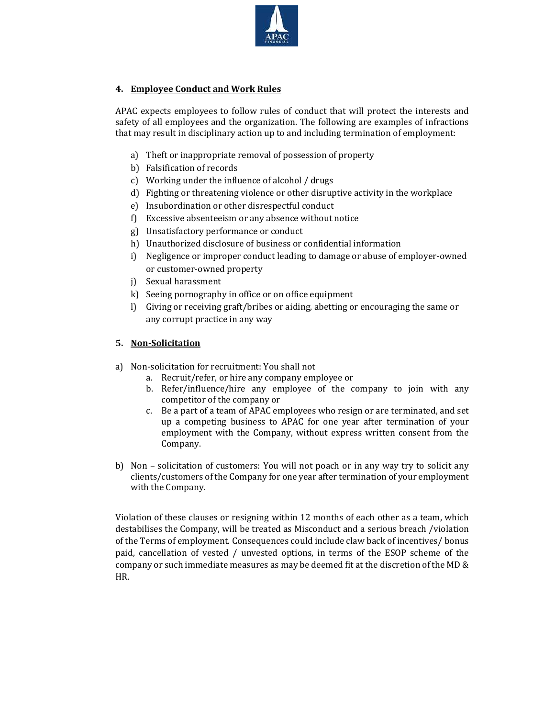

# 4. Employee Conduct and Work Rules

APAC expects employees to follow rules of conduct that will protect the interests and safety of all employees and the organization. The following are examples of infractions that may result in disciplinary action up to and including termination of employment:

- a) Theft or inappropriate removal of possession of property
- b) Falsification of records
- c) Working under the influence of alcohol / drugs
- d) Fighting or threatening violence or other disruptive activity in the workplace
- e) Insubordination or other disrespectful conduct
- f) Excessive absenteeism or any absence without notice
- g) Unsatisfactory performance or conduct
- h) Unauthorized disclosure of business or confidential information
- i) Negligence or improper conduct leading to damage or abuse of employer-owned or customer-owned property
- j) Sexual harassment
- k) Seeing pornography in office or on office equipment
- l) Giving or receiving graft/bribes or aiding, abetting or encouraging the same or any corrupt practice in any way

## 5. Non-Solicitation

- a) Non-solicitation for recruitment: You shall not
	- a. Recruit/refer, or hire any company employee or
	- b. Refer/influence/hire any employee of the company to join with any competitor of the company or
	- c. Be a part of a team of APAC employees who resign or are terminated, and set up a competing business to APAC for one year after termination of your employment with the Company, without express written consent from the Company.
- b) Non solicitation of customers: You will not poach or in any way try to solicit any clients/customers of the Company for one year after termination of your employment with the Company.

Violation of these clauses or resigning within 12 months of each other as a team, which destabilises the Company, will be treated as Misconduct and a serious breach /violation of the Terms of employment. Consequences could include claw back of incentives/ bonus paid, cancellation of vested / unvested options, in terms of the ESOP scheme of the company or such immediate measures as may be deemed fit at the discretion of the MD & HR.